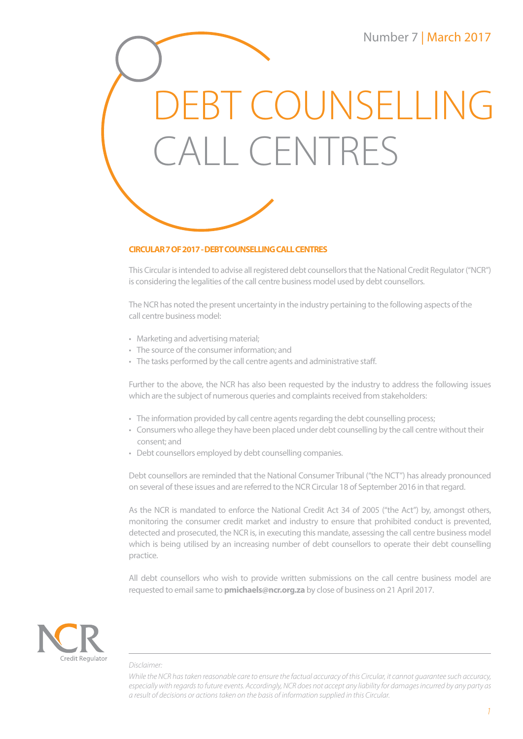# EBT COUNSELLING CALL CENTRES



# **CIRCULAR 7 OF 2017 - DEBT COUNSELLING CALL CENTRES**

This Circular is intended to advise all registered debt counsellors that the National Credit Regulator ("NCR") is considering the legalities of the call centre business model used by debt counsellors.

The NCR has noted the present uncertainty in the industry pertaining to the following aspects of the call centre business model:

- Marketing and advertising material;
- The source of the consumer information; and
- The tasks performed by the call centre agents and administrative staff.

Further to the above, the NCR has also been requested by the industry to address the following issues which are the subject of numerous queries and complaints received from stakeholders:

- The information provided by call centre agents regarding the debt counselling process;
- Consumers who allege they have been placed under debt counselling by the call centre without their consent; and
- Debt counsellors employed by debt counselling companies.

Debt counsellors are reminded that the National Consumer Tribunal ("the NCT") has already pronounced on several of these issues and are referred to the NCR Circular 18 of September 2016 in that regard.

As the NCR is mandated to enforce the National Credit Act 34 of 2005 ("the Act") by, amongst others, monitoring the consumer credit market and industry to ensure that prohibited conduct is prevented, detected and prosecuted, the NCR is, in executing this mandate, assessing the call centre business model which is being utilised by an increasing number of debt counsellors to operate their debt counselling practice.

All debt counsellors who wish to provide written submissions on the call centre business model are requested to email same to **pmichaels@ncr.org.za** by close of business on 21 April 2017.



## *Disclaimer:*

*While the NCR has taken reasonable care to ensure the factual accuracy of this Circular, it cannot guarantee such accuracy, especially with regards to future events. Accordingly, NCR does not accept any liability for damages incurred by any party as a result of decisions or actions taken on the basis of information supplied in this Circular.*